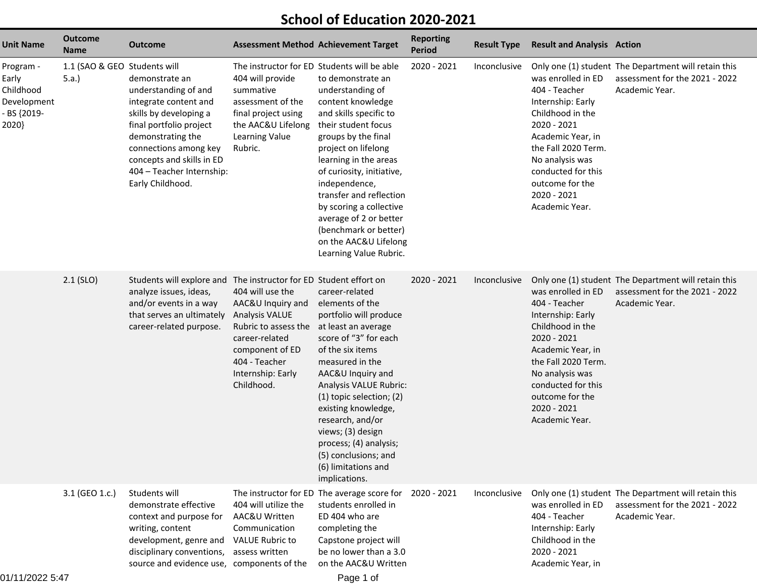## **School of Education 2020-2021**

| <b>Unit Name</b>                                                       | <b>Outcome</b><br><b>Name</b>         | <b>Outcome</b>                                                                                                                                                                                                                                   | <b>Assessment Method Achievement Target</b>                                                                                                                                     |                                                                                                                                                                                                                                                                                                                                                                                              | <b>Reporting</b><br><b>Period</b> | <b>Result Type</b> | <b>Result and Analysis Action</b>                                                                                                                                                                                                    |                                                                                                          |
|------------------------------------------------------------------------|---------------------------------------|--------------------------------------------------------------------------------------------------------------------------------------------------------------------------------------------------------------------------------------------------|---------------------------------------------------------------------------------------------------------------------------------------------------------------------------------|----------------------------------------------------------------------------------------------------------------------------------------------------------------------------------------------------------------------------------------------------------------------------------------------------------------------------------------------------------------------------------------------|-----------------------------------|--------------------|--------------------------------------------------------------------------------------------------------------------------------------------------------------------------------------------------------------------------------------|----------------------------------------------------------------------------------------------------------|
| Program -<br>Early<br>Childhood<br>Development<br>- BS {2019-<br>2020} | 1.1 (SAO & GEO Students will<br>5.a.) | demonstrate an<br>understanding of and<br>integrate content and<br>skills by developing a<br>final portfolio project<br>demonstrating the<br>connections among key<br>concepts and skills in ED<br>404 - Teacher Internship:<br>Early Childhood. | The instructor for ED Students will be able<br>404 will provide<br>summative<br>assessment of the<br>final project using<br>the AAC&U Lifelong<br>Learning Value<br>Rubric.     | to demonstrate an<br>understanding of<br>content knowledge<br>and skills specific to<br>their student focus<br>groups by the final<br>project on lifelong<br>learning in the areas<br>of curiosity, initiative,<br>independence,<br>transfer and reflection<br>by scoring a collective<br>average of 2 or better<br>(benchmark or better)<br>on the AAC&U Lifelong<br>Learning Value Rubric. | 2020 - 2021                       | Inconclusive       | was enrolled in ED<br>404 - Teacher<br>Internship: Early<br>Childhood in the<br>2020 - 2021<br>Academic Year, in<br>the Fall 2020 Term.<br>No analysis was<br>conducted for this<br>outcome for the<br>2020 - 2021<br>Academic Year. | Only one (1) student The Department will retain this<br>assessment for the 2021 - 2022<br>Academic Year. |
|                                                                        | $2.1$ (SLO)                           | Students will explore and The instructor for ED Student effort on<br>analyze issues, ideas,<br>and/or events in a way<br>that serves an ultimately<br>career-related purpose.                                                                    | 404 will use the<br>AAC&U Inquiry and<br><b>Analysis VALUE</b><br>Rubric to assess the<br>career-related<br>component of ED<br>404 - Teacher<br>Internship: Early<br>Childhood. | career-related<br>elements of the<br>portfolio will produce<br>at least an average<br>score of "3" for each<br>of the six items<br>measured in the<br>AAC&U Inquiry and<br>Analysis VALUE Rubric:<br>(1) topic selection; (2)<br>existing knowledge,<br>research, and/or<br>views; (3) design<br>process; (4) analysis;<br>(5) conclusions; and<br>(6) limitations and<br>implications.      | 2020 - 2021                       | Inconclusive       | was enrolled in ED<br>404 - Teacher<br>Internship: Early<br>Childhood in the<br>2020 - 2021<br>Academic Year, in<br>the Fall 2020 Term.<br>No analysis was<br>conducted for this<br>outcome for the<br>2020 - 2021<br>Academic Year. | Only one (1) student The Department will retain this<br>assessment for the 2021 - 2022<br>Academic Year. |
|                                                                        | 3.1 (GEO 1.c.)                        | Students will<br>demonstrate effective<br>context and purpose for<br>writing, content<br>development, genre and<br>disciplinary conventions,<br>source and evidence use, components of the                                                       | 404 will utilize the<br>AAC&U Written<br>Communication<br><b>VALUE Rubric to</b><br>assess written                                                                              | The instructor for ED The average score for 2020 - 2021<br>students enrolled in<br>ED 404 who are<br>completing the<br>Capstone project will<br>be no lower than a 3.0<br>on the AAC&U Written                                                                                                                                                                                               |                                   | Inconclusive       | was enrolled in ED<br>404 - Teacher<br>Internship: Early<br>Childhood in the<br>2020 - 2021<br>Academic Year, in                                                                                                                     | Only one (1) student The Department will retain this<br>assessment for the 2021 - 2022<br>Academic Year. |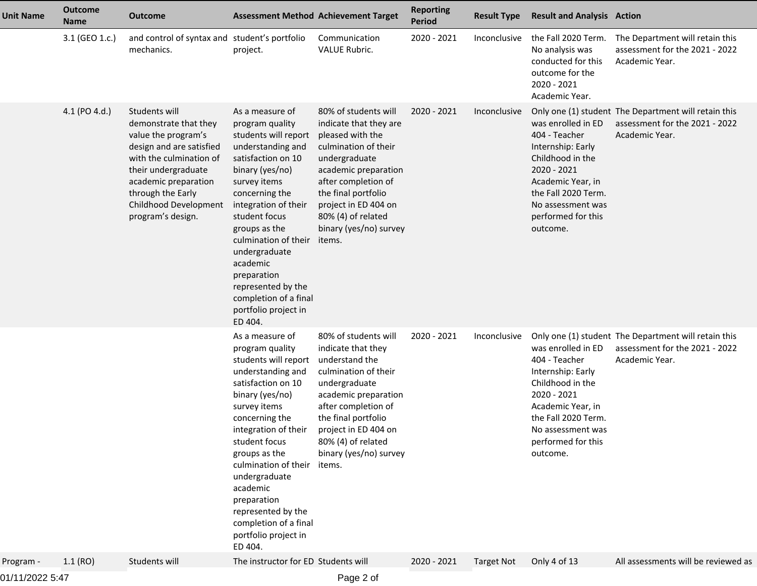| <b>Unit Name</b> | <b>Outcome</b><br><b>Name</b> | <b>Outcome</b>                                                                                                                                                                                                                         | <b>Assessment Method Achievement Target</b>                                                                                                                                                                                                                                                                                                                                |                                                                                                                                                                                                                                                                     | <b>Reporting</b><br><b>Period</b> | <b>Result Type</b> | <b>Result and Analysis Action</b>                                                                                                                                                              |                                                                                                          |
|------------------|-------------------------------|----------------------------------------------------------------------------------------------------------------------------------------------------------------------------------------------------------------------------------------|----------------------------------------------------------------------------------------------------------------------------------------------------------------------------------------------------------------------------------------------------------------------------------------------------------------------------------------------------------------------------|---------------------------------------------------------------------------------------------------------------------------------------------------------------------------------------------------------------------------------------------------------------------|-----------------------------------|--------------------|------------------------------------------------------------------------------------------------------------------------------------------------------------------------------------------------|----------------------------------------------------------------------------------------------------------|
|                  | 3.1 (GEO 1.c.)                | and control of syntax and student's portfolio<br>mechanics.                                                                                                                                                                            | project.                                                                                                                                                                                                                                                                                                                                                                   | Communication<br><b>VALUE Rubric.</b>                                                                                                                                                                                                                               | 2020 - 2021                       | Inconclusive       | the Fall 2020 Term.<br>No analysis was<br>conducted for this<br>outcome for the<br>2020 - 2021<br>Academic Year.                                                                               | The Department will retain this<br>assessment for the 2021 - 2022<br>Academic Year.                      |
|                  | 4.1 (PO 4.d.)                 | Students will<br>demonstrate that they<br>value the program's<br>design and are satisfied<br>with the culmination of<br>their undergraduate<br>academic preparation<br>through the Early<br>Childhood Development<br>program's design. | As a measure of<br>program quality<br>students will report<br>understanding and<br>satisfaction on 10<br>binary (yes/no)<br>survey items<br>concerning the<br>integration of their<br>student focus<br>groups as the<br>culmination of their<br>undergraduate<br>academic<br>preparation<br>represented by the<br>completion of a final<br>portfolio project in<br>ED 404. | 80% of students will<br>indicate that they are<br>pleased with the<br>culmination of their<br>undergraduate<br>academic preparation<br>after completion of<br>the final portfolio<br>project in ED 404 on<br>80% (4) of related<br>binary (yes/no) survey<br>items. | 2020 - 2021                       | Inconclusive       | was enrolled in ED<br>404 - Teacher<br>Internship: Early<br>Childhood in the<br>2020 - 2021<br>Academic Year, in<br>the Fall 2020 Term.<br>No assessment was<br>performed for this<br>outcome. | Only one (1) student The Department will retain this<br>assessment for the 2021 - 2022<br>Academic Year. |
|                  |                               |                                                                                                                                                                                                                                        | As a measure of<br>program quality<br>students will report<br>understanding and<br>satisfaction on 10<br>binary (yes/no)<br>survey items<br>concerning the<br>integration of their<br>student focus<br>groups as the<br>culmination of their<br>undergraduate<br>academic<br>preparation<br>represented by the<br>completion of a final<br>portfolio project in<br>ED 404. | 80% of students will<br>indicate that they<br>understand the<br>culmination of their<br>undergraduate<br>academic preparation<br>after completion of<br>the final portfolio<br>project in ED 404 on<br>80% (4) of related<br>binary (yes/no) survey<br>items.       | 2020 - 2021                       | Inconclusive       | was enrolled in ED<br>404 - Teacher<br>Internship: Early<br>Childhood in the<br>2020 - 2021<br>Academic Year, in<br>the Fall 2020 Term.<br>No assessment was<br>performed for this<br>outcome. | Only one (1) student The Department will retain this<br>assessment for the 2021 - 2022<br>Academic Year. |
| Program -        | 1.1(RO)                       | Students will                                                                                                                                                                                                                          | The instructor for ED Students will                                                                                                                                                                                                                                                                                                                                        |                                                                                                                                                                                                                                                                     | 2020 - 2021                       | <b>Target Not</b>  | Only 4 of 13                                                                                                                                                                                   | All assessments will be reviewed as                                                                      |
|                  |                               |                                                                                                                                                                                                                                        |                                                                                                                                                                                                                                                                                                                                                                            |                                                                                                                                                                                                                                                                     |                                   |                    |                                                                                                                                                                                                |                                                                                                          |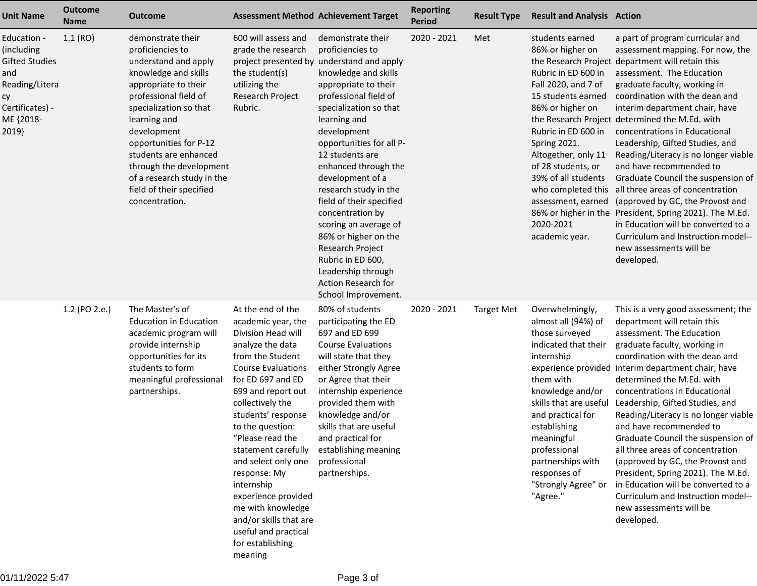| <b>Unit Name</b>                                                                                                           | <b>Outcome</b><br><b>Name</b> | Outcome                                                                                                                                                                                                                                                                                                                                                   | <b>Assessment Method Achievement Target</b>                                                                                                                                                                                                                                                                                                                                                                                                                              |                                                                                                                                                                                                                                                                                                                                                                                                                                                                                                                                   | <b>Reporting</b><br><b>Period</b> | <b>Result Type</b> | <b>Result and Analysis Action</b>                                                                                                                                                                                                                                                                    |                                                                                                                                                                                                                                                                                                                                                                                                                                                                                                                                                                                                                                                                                                                                                                                         |
|----------------------------------------------------------------------------------------------------------------------------|-------------------------------|-----------------------------------------------------------------------------------------------------------------------------------------------------------------------------------------------------------------------------------------------------------------------------------------------------------------------------------------------------------|--------------------------------------------------------------------------------------------------------------------------------------------------------------------------------------------------------------------------------------------------------------------------------------------------------------------------------------------------------------------------------------------------------------------------------------------------------------------------|-----------------------------------------------------------------------------------------------------------------------------------------------------------------------------------------------------------------------------------------------------------------------------------------------------------------------------------------------------------------------------------------------------------------------------------------------------------------------------------------------------------------------------------|-----------------------------------|--------------------|------------------------------------------------------------------------------------------------------------------------------------------------------------------------------------------------------------------------------------------------------------------------------------------------------|-----------------------------------------------------------------------------------------------------------------------------------------------------------------------------------------------------------------------------------------------------------------------------------------------------------------------------------------------------------------------------------------------------------------------------------------------------------------------------------------------------------------------------------------------------------------------------------------------------------------------------------------------------------------------------------------------------------------------------------------------------------------------------------------|
| Education -<br>(including<br><b>Gifted Studies</b><br>and<br>Reading/Litera<br>су<br>Certificates) -<br>ME {2018-<br>2019} | 1.1(RO)                       | demonstrate their<br>proficiencies to<br>understand and apply<br>knowledge and skills<br>appropriate to their<br>professional field of<br>specialization so that<br>learning and<br>development<br>opportunities for P-12<br>students are enhanced<br>through the development<br>of a research study in the<br>field of their specified<br>concentration. | 600 will assess and<br>grade the research<br>project presented by<br>the student(s)<br>utilizing the<br>Research Project<br>Rubric.                                                                                                                                                                                                                                                                                                                                      | demonstrate their<br>proficiencies to<br>understand and apply<br>knowledge and skills<br>appropriate to their<br>professional field of<br>specialization so that<br>learning and<br>development<br>opportunities for all P-<br>12 students are<br>enhanced through the<br>development of a<br>research study in the<br>field of their specified<br>concentration by<br>scoring an average of<br>86% or higher on the<br>Research Project<br>Rubric in ED 600,<br>Leadership through<br>Action Research for<br>School Improvement. | 2020 - 2021                       | Met                | students earned<br>86% or higher on<br>Rubric in ED 600 in<br>Fall 2020, and 7 of<br>15 students earned<br>86% or higher on<br>Rubric in ED 600 in<br>Spring 2021.<br>Altogether, only 11<br>of 28 students, or<br>39% of all students<br>2020-2021<br>academic year.                                | a part of program curricular and<br>assessment mapping. For now, the<br>the Research Project department will retain this<br>assessment. The Education<br>graduate faculty, working in<br>coordination with the dean and<br>interim department chair, have<br>the Research Project determined the M.Ed. with<br>concentrations in Educational<br>Leadership, Gifted Studies, and<br>Reading/Literacy is no longer viable<br>and have recommended to<br>Graduate Council the suspension of<br>who completed this all three areas of concentration<br>assessment, earned (approved by GC, the Provost and<br>86% or higher in the President, Spring 2021). The M.Ed.<br>in Education will be converted to a<br>Curriculum and Instruction model--<br>new assessments will be<br>developed. |
|                                                                                                                            | 1.2 (PO 2.e.)                 | The Master's of<br><b>Education in Education</b><br>academic program will<br>provide internship<br>opportunities for its<br>students to form<br>meaningful professional<br>partnerships.                                                                                                                                                                  | At the end of the<br>academic year, the<br>Division Head will<br>analyze the data<br>from the Student<br><b>Course Evaluations</b><br>for ED 697 and ED<br>699 and report out<br>collectively the<br>students' response<br>to the question:<br>"Please read the<br>statement carefully<br>and select only one<br>response: My<br>internship<br>experience provided<br>me with knowledge<br>and/or skills that are<br>useful and practical<br>for establishing<br>meaning | 80% of students<br>participating the ED<br>697 and ED 699<br><b>Course Evaluations</b><br>will state that they<br>either Strongly Agree<br>or Agree that their<br>internship experience<br>provided them with<br>knowledge and/or<br>skills that are useful<br>and practical for<br>establishing meaning<br>professional<br>partnerships.                                                                                                                                                                                         | 2020 - 2021                       | <b>Target Met</b>  | Overwhelmingly,<br>almost all (94%) of<br>those surveyed<br>indicated that their<br>internship<br>them with<br>knowledge and/or<br>skills that are useful<br>and practical for<br>establishing<br>meaningful<br>professional<br>partnerships with<br>responses of<br>"Strongly Agree" or<br>"Agree." | This is a very good assessment; the<br>department will retain this<br>assessment. The Education<br>graduate faculty, working in<br>coordination with the dean and<br>experience provided interim department chair, have<br>determined the M.Ed. with<br>concentrations in Educational<br>Leadership, Gifted Studies, and<br>Reading/Literacy is no longer viable<br>and have recommended to<br>Graduate Council the suspension of<br>all three areas of concentration<br>(approved by GC, the Provost and<br>President, Spring 2021). The M.Ed.<br>in Education will be converted to a<br>Curriculum and Instruction model--<br>new assessments will be<br>developed.                                                                                                                   |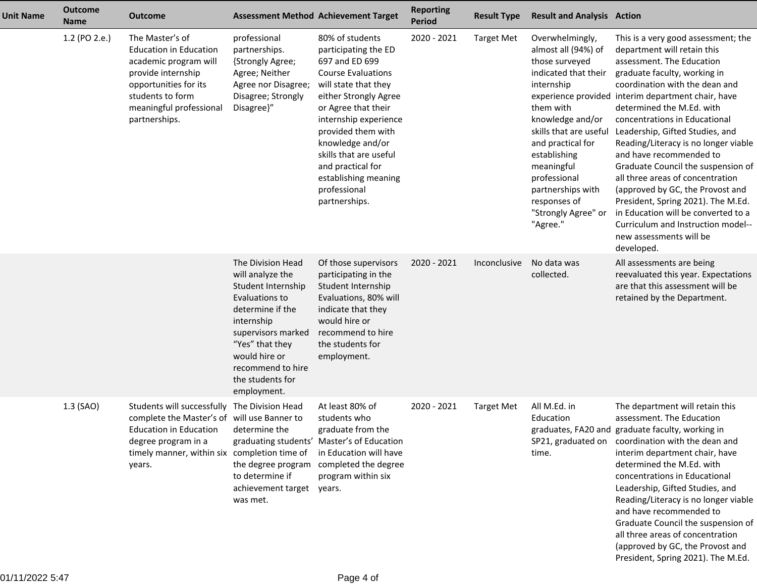| <b>Unit Name</b> | <b>Outcome</b><br><b>Name</b> | <b>Outcome</b>                                                                                                                                                                           | <b>Assessment Method Achievement Target</b>                                                                                                                                                                                       |                                                                                                                                                                                                                                                                                                                                           | <b>Reporting</b><br><b>Period</b> | <b>Result Type</b> | <b>Result and Analysis Action</b>                                                                                                                                                                                                                                                                    |                                                                                                                                                                                                                                                                                                                                                                                                                                                                                                                                                                                                                                                                       |
|------------------|-------------------------------|------------------------------------------------------------------------------------------------------------------------------------------------------------------------------------------|-----------------------------------------------------------------------------------------------------------------------------------------------------------------------------------------------------------------------------------|-------------------------------------------------------------------------------------------------------------------------------------------------------------------------------------------------------------------------------------------------------------------------------------------------------------------------------------------|-----------------------------------|--------------------|------------------------------------------------------------------------------------------------------------------------------------------------------------------------------------------------------------------------------------------------------------------------------------------------------|-----------------------------------------------------------------------------------------------------------------------------------------------------------------------------------------------------------------------------------------------------------------------------------------------------------------------------------------------------------------------------------------------------------------------------------------------------------------------------------------------------------------------------------------------------------------------------------------------------------------------------------------------------------------------|
|                  | 1.2 (PO 2.e.)                 | The Master's of<br><b>Education in Education</b><br>academic program will<br>provide internship<br>opportunities for its<br>students to form<br>meaningful professional<br>partnerships. | professional<br>partnerships.<br>{Strongly Agree;<br>Agree; Neither<br>Agree nor Disagree;<br>Disagree; Strongly<br>Disagree}"                                                                                                    | 80% of students<br>participating the ED<br>697 and ED 699<br><b>Course Evaluations</b><br>will state that they<br>either Strongly Agree<br>or Agree that their<br>internship experience<br>provided them with<br>knowledge and/or<br>skills that are useful<br>and practical for<br>establishing meaning<br>professional<br>partnerships. | 2020 - 2021                       | <b>Target Met</b>  | Overwhelmingly,<br>almost all (94%) of<br>those surveyed<br>indicated that their<br>internship<br>them with<br>knowledge and/or<br>skills that are useful<br>and practical for<br>establishing<br>meaningful<br>professional<br>partnerships with<br>responses of<br>"Strongly Agree" or<br>"Agree." | This is a very good assessment; the<br>department will retain this<br>assessment. The Education<br>graduate faculty, working in<br>coordination with the dean and<br>experience provided interim department chair, have<br>determined the M.Ed. with<br>concentrations in Educational<br>Leadership, Gifted Studies, and<br>Reading/Literacy is no longer viable<br>and have recommended to<br>Graduate Council the suspension of<br>all three areas of concentration<br>(approved by GC, the Provost and<br>President, Spring 2021). The M.Ed.<br>in Education will be converted to a<br>Curriculum and Instruction model--<br>new assessments will be<br>developed. |
|                  |                               |                                                                                                                                                                                          | The Division Head<br>will analyze the<br>Student Internship<br>Evaluations to<br>determine if the<br>internship<br>supervisors marked<br>"Yes" that they<br>would hire or<br>recommend to hire<br>the students for<br>employment. | Of those supervisors<br>participating in the<br>Student Internship<br>Evaluations, 80% will<br>indicate that they<br>would hire or<br>recommend to hire<br>the students for<br>employment.                                                                                                                                                | 2020 - 2021                       | Inconclusive       | No data was<br>collected.                                                                                                                                                                                                                                                                            | All assessments are being<br>reevaluated this year. Expectations<br>are that this assessment will be<br>retained by the Department.                                                                                                                                                                                                                                                                                                                                                                                                                                                                                                                                   |
|                  | 1.3 (SAO)                     | Students will successfully<br>complete the Master's of will use Banner to<br><b>Education in Education</b><br>degree program in a<br>timely manner, within six<br>years.                 | The Division Head<br>determine the<br>completion time of<br>the degree program<br>to determine if<br>achievement target years.<br>was met.                                                                                        | At least 80% of<br>students who<br>graduate from the<br>graduating students' Master's of Education<br>in Education will have<br>completed the degree<br>program within six                                                                                                                                                                | 2020 - 2021                       | <b>Target Met</b>  | All M.Ed. in<br>Education<br>time.                                                                                                                                                                                                                                                                   | The department will retain this<br>assessment. The Education<br>graduates, FA20 and graduate faculty, working in<br>SP21, graduated on coordination with the dean and<br>interim department chair, have<br>determined the M.Ed. with<br>concentrations in Educational<br>Leadership, Gifted Studies, and<br>Reading/Literacy is no longer viable<br>and have recommended to<br>Graduate Council the suspension of<br>all three areas of concentration<br>(approved by GC, the Provost and<br>President, Spring 2021). The M.Ed.                                                                                                                                       |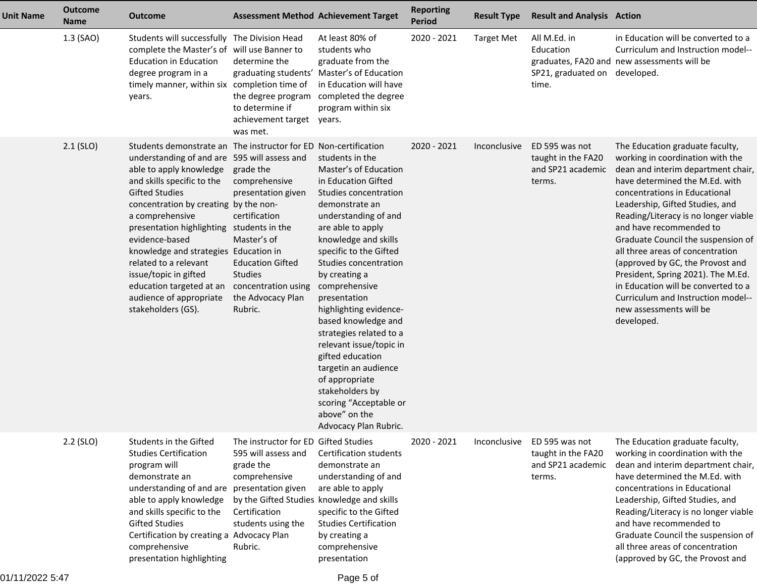| <b>Unit Name</b> | <b>Outcome</b><br><b>Name</b> | <b>Outcome</b>                                                                                                                                                                                                                                                                                                                                                                                                                                                                       | <b>Assessment Method Achievement Target</b>                                                                                                                                                                     |                                                                                                                                                                                                                                                                                                                                                                                                                                                                                                                                                  | <b>Reporting</b><br><b>Period</b> | <b>Result Type</b> | <b>Result and Analysis Action</b>                                   |                                                                                                                                                                                                                                                                                                                                                                                                                                                                                                                                                              |
|------------------|-------------------------------|--------------------------------------------------------------------------------------------------------------------------------------------------------------------------------------------------------------------------------------------------------------------------------------------------------------------------------------------------------------------------------------------------------------------------------------------------------------------------------------|-----------------------------------------------------------------------------------------------------------------------------------------------------------------------------------------------------------------|--------------------------------------------------------------------------------------------------------------------------------------------------------------------------------------------------------------------------------------------------------------------------------------------------------------------------------------------------------------------------------------------------------------------------------------------------------------------------------------------------------------------------------------------------|-----------------------------------|--------------------|---------------------------------------------------------------------|--------------------------------------------------------------------------------------------------------------------------------------------------------------------------------------------------------------------------------------------------------------------------------------------------------------------------------------------------------------------------------------------------------------------------------------------------------------------------------------------------------------------------------------------------------------|
|                  | 1.3 (SAO)                     | Students will successfully The Division Head<br>complete the Master's of will use Banner to<br><b>Education in Education</b><br>degree program in a<br>timely manner, within six completion time of<br>years.                                                                                                                                                                                                                                                                        | determine the<br>to determine if<br>achievement target years.<br>was met.                                                                                                                                       | At least 80% of<br>students who<br>graduate from the<br>graduating students' Master's of Education<br>in Education will have<br>the degree program completed the degree<br>program within six                                                                                                                                                                                                                                                                                                                                                    | 2020 - 2021                       | <b>Target Met</b>  | All M.Ed. in<br>Education<br>SP21, graduated on developed.<br>time. | in Education will be converted to a<br>Curriculum and Instruction model--<br>graduates, FA20 and new assessments will be                                                                                                                                                                                                                                                                                                                                                                                                                                     |
|                  | $2.1$ (SLO)                   | Students demonstrate an The instructor for ED Non-certification<br>understanding of and are 595 will assess and<br>able to apply knowledge<br>and skills specific to the<br><b>Gifted Studies</b><br>concentration by creating by the non-<br>a comprehensive<br>presentation highlighting<br>evidence-based<br>knowledge and strategies Education in<br>related to a relevant<br>issue/topic in gifted<br>education targeted at an<br>audience of appropriate<br>stakeholders (GS). | grade the<br>comprehensive<br>presentation given<br>certification<br>students in the<br>Master's of<br><b>Education Gifted</b><br><b>Studies</b><br>concentration using<br>the Advocacy Plan<br>Rubric.         | students in the<br>Master's of Education<br>in Education Gifted<br>Studies concentration<br>demonstrate an<br>understanding of and<br>are able to apply<br>knowledge and skills<br>specific to the Gifted<br>Studies concentration<br>by creating a<br>comprehensive<br>presentation<br>highlighting evidence-<br>based knowledge and<br>strategies related to a<br>relevant issue/topic in<br>gifted education<br>targetin an audience<br>of appropriate<br>stakeholders by<br>scoring "Acceptable or<br>above" on the<br>Advocacy Plan Rubric. | 2020 - 2021                       | Inconclusive       | ED 595 was not<br>taught in the FA20<br>and SP21 academic<br>terms. | The Education graduate faculty,<br>working in coordination with the<br>dean and interim department chair,<br>have determined the M.Ed. with<br>concentrations in Educational<br>Leadership, Gifted Studies, and<br>Reading/Literacy is no longer viable<br>and have recommended to<br>Graduate Council the suspension of<br>all three areas of concentration<br>(approved by GC, the Provost and<br>President, Spring 2021). The M.Ed.<br>in Education will be converted to a<br>Curriculum and Instruction model--<br>new assessments will be<br>developed. |
|                  | $2.2$ (SLO)                   | Students in the Gifted<br><b>Studies Certification</b><br>program will<br>demonstrate an<br>understanding of and are<br>able to apply knowledge<br>and skills specific to the<br><b>Gifted Studies</b><br>Certification by creating a Advocacy Plan<br>comprehensive<br>presentation highlighting                                                                                                                                                                                    | The instructor for ED Gifted Studies<br>595 will assess and<br>grade the<br>comprehensive<br>presentation given<br>by the Gifted Studies knowledge and skills<br>Certification<br>students using the<br>Rubric. | Certification students<br>demonstrate an<br>understanding of and<br>are able to apply<br>specific to the Gifted<br><b>Studies Certification</b><br>by creating a<br>comprehensive<br>presentation                                                                                                                                                                                                                                                                                                                                                | 2020 - 2021                       | Inconclusive       | ED 595 was not<br>taught in the FA20<br>and SP21 academic<br>terms. | The Education graduate faculty,<br>working in coordination with the<br>dean and interim department chair,<br>have determined the M.Ed. with<br>concentrations in Educational<br>Leadership, Gifted Studies, and<br>Reading/Literacy is no longer viable<br>and have recommended to<br>Graduate Council the suspension of<br>all three areas of concentration<br>(approved by GC, the Provost and                                                                                                                                                             |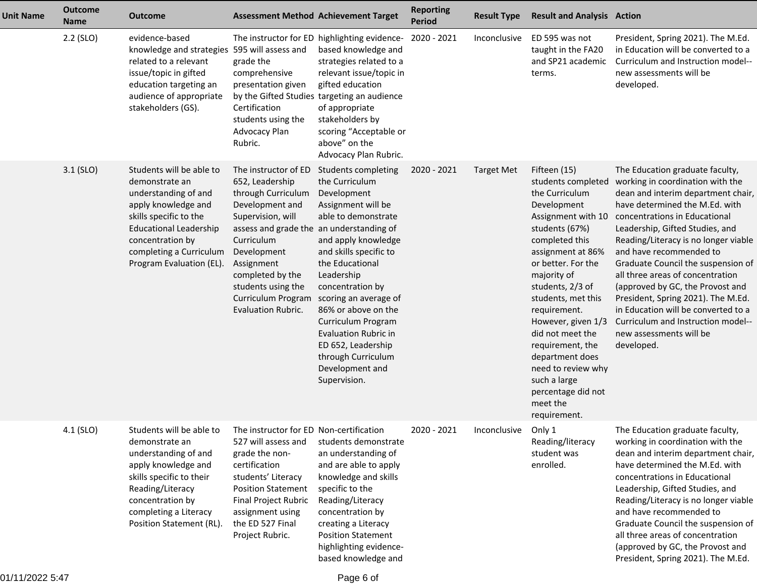| <b>Unit Name</b> | <b>Outcome</b><br><b>Name</b> | <b>Outcome</b>                                                                                                                                                                                                                  | <b>Assessment Method Achievement Target</b>                                                                                                                                                                                                                         |                                                                                                                                                                                                                                                                                                                                                                                                                       | <b>Reporting</b><br><b>Period</b> | <b>Result Type</b> | <b>Result and Analysis Action</b>                                                                                                                                                                                                                                                                                                                                                                                          |                                                                                                                                                                                                                                                                                                                                                                                                                                                                                                                                                              |
|------------------|-------------------------------|---------------------------------------------------------------------------------------------------------------------------------------------------------------------------------------------------------------------------------|---------------------------------------------------------------------------------------------------------------------------------------------------------------------------------------------------------------------------------------------------------------------|-----------------------------------------------------------------------------------------------------------------------------------------------------------------------------------------------------------------------------------------------------------------------------------------------------------------------------------------------------------------------------------------------------------------------|-----------------------------------|--------------------|----------------------------------------------------------------------------------------------------------------------------------------------------------------------------------------------------------------------------------------------------------------------------------------------------------------------------------------------------------------------------------------------------------------------------|--------------------------------------------------------------------------------------------------------------------------------------------------------------------------------------------------------------------------------------------------------------------------------------------------------------------------------------------------------------------------------------------------------------------------------------------------------------------------------------------------------------------------------------------------------------|
|                  | 2.2 (SLO)                     | evidence-based<br>knowledge and strategies 595 will assess and<br>related to a relevant<br>issue/topic in gifted<br>education targeting an<br>audience of appropriate<br>stakeholders (GS).                                     | grade the<br>comprehensive<br>presentation given<br>Certification<br>students using the<br>Advocacy Plan<br>Rubric.                                                                                                                                                 | The instructor for ED highlighting evidence-<br>based knowledge and<br>strategies related to a<br>relevant issue/topic in<br>gifted education<br>by the Gifted Studies targeting an audience<br>of appropriate<br>stakeholders by<br>scoring "Acceptable or<br>above" on the<br>Advocacy Plan Rubric.                                                                                                                 | 2020 - 2021                       | Inconclusive       | ED 595 was not<br>taught in the FA20<br>and SP21 academic<br>terms.                                                                                                                                                                                                                                                                                                                                                        | President, Spring 2021). The M.Ed.<br>in Education will be converted to a<br>Curriculum and Instruction model--<br>new assessments will be<br>developed.                                                                                                                                                                                                                                                                                                                                                                                                     |
|                  | $3.1$ (SLO)                   | Students will be able to<br>demonstrate an<br>understanding of and<br>apply knowledge and<br>skills specific to the<br><b>Educational Leadership</b><br>concentration by<br>completing a Curriculum<br>Program Evaluation (EL). | The instructor of ED<br>652, Leadership<br>through Curriculum<br>Development and<br>Supervision, will<br>assess and grade the an understanding of<br>Curriculum<br>Development<br>Assignment<br>completed by the<br>students using the<br><b>Evaluation Rubric.</b> | <b>Students completing</b><br>the Curriculum<br>Development<br>Assignment will be<br>able to demonstrate<br>and apply knowledge<br>and skills specific to<br>the Educational<br>Leadership<br>concentration by<br>Curriculum Program scoring an average of<br>86% or above on the<br>Curriculum Program<br><b>Evaluation Rubric in</b><br>ED 652, Leadership<br>through Curriculum<br>Development and<br>Supervision. | 2020 - 2021                       | <b>Target Met</b>  | Fifteen (15)<br>students completed<br>the Curriculum<br>Development<br>Assignment with 10<br>students (67%)<br>completed this<br>assignment at 86%<br>or better. For the<br>majority of<br>students, 2/3 of<br>students, met this<br>requirement.<br>However, given 1/3<br>did not meet the<br>requirement, the<br>department does<br>need to review why<br>such a large<br>percentage did not<br>meet the<br>requirement. | The Education graduate faculty,<br>working in coordination with the<br>dean and interim department chair,<br>have determined the M.Ed. with<br>concentrations in Educational<br>Leadership, Gifted Studies, and<br>Reading/Literacy is no longer viable<br>and have recommended to<br>Graduate Council the suspension of<br>all three areas of concentration<br>(approved by GC, the Provost and<br>President, Spring 2021). The M.Ed.<br>in Education will be converted to a<br>Curriculum and Instruction model--<br>new assessments will be<br>developed. |
|                  | 4.1 (SLO)                     | Students will be able to<br>demonstrate an<br>understanding of and<br>apply knowledge and<br>skills specific to their<br>Reading/Literacy<br>concentration by<br>completing a Literacy<br>Position Statement (RL).              | The instructor for FD Non-certification<br>527 will assess and<br>grade the non-<br>certification<br>students' Literacy<br><b>Position Statement</b><br>Final Project Rubric<br>assignment using<br>the ED 527 Final<br>Project Rubric.                             | students demonstrate<br>an understanding of<br>and are able to apply<br>knowledge and skills<br>specific to the<br>Reading/Literacy<br>concentration by<br>creating a Literacy<br><b>Position Statement</b><br>highlighting evidence-<br>based knowledge and                                                                                                                                                          | 2020 - 2021                       | Inconclusive       | Only 1<br>Reading/literacy<br>student was<br>enrolled.                                                                                                                                                                                                                                                                                                                                                                     | The Education graduate faculty,<br>working in coordination with the<br>dean and interim department chair,<br>have determined the M.Ed. with<br>concentrations in Educational<br>Leadership, Gifted Studies, and<br>Reading/Literacy is no longer viable<br>and have recommended to<br>Graduate Council the suspension of<br>all three areas of concentration<br>(approved by GC, the Provost and<br>President, Spring 2021). The M.Ed.                                                                                                                       |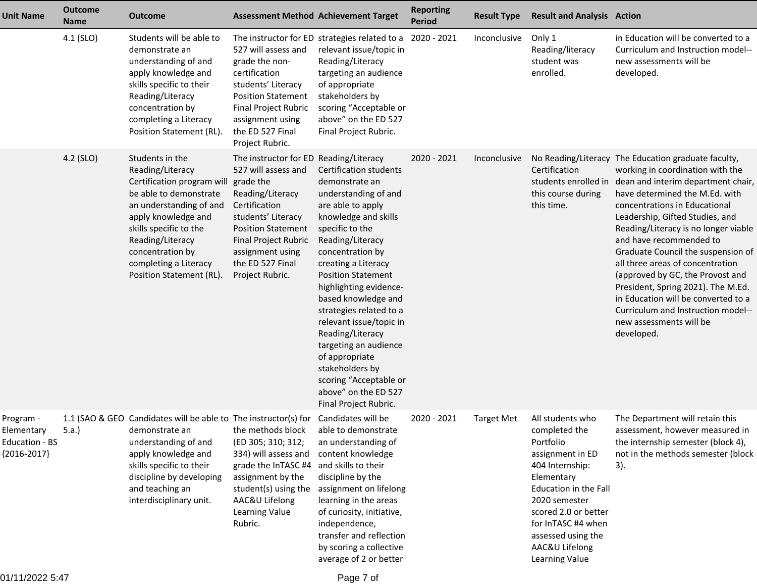| <b>Unit Name</b>                                           | <b>Outcome</b><br><b>Name</b> | <b>Outcome</b>                                                                                                                                                                                                                                                       | <b>Assessment Method Achievement Target</b>                                                                                                                                                                                                           |                                                                                                                                                                                                                                                                                                                                                                                                                                                                                                         | <b>Reporting</b><br><b>Period</b> | <b>Result Type</b> | <b>Result and Analysis Action</b>                                                                                                                                                                                                                     |                                                                                                                                                                                                                                                                                                                                                                                                                                                                                                                                                                                  |
|------------------------------------------------------------|-------------------------------|----------------------------------------------------------------------------------------------------------------------------------------------------------------------------------------------------------------------------------------------------------------------|-------------------------------------------------------------------------------------------------------------------------------------------------------------------------------------------------------------------------------------------------------|---------------------------------------------------------------------------------------------------------------------------------------------------------------------------------------------------------------------------------------------------------------------------------------------------------------------------------------------------------------------------------------------------------------------------------------------------------------------------------------------------------|-----------------------------------|--------------------|-------------------------------------------------------------------------------------------------------------------------------------------------------------------------------------------------------------------------------------------------------|----------------------------------------------------------------------------------------------------------------------------------------------------------------------------------------------------------------------------------------------------------------------------------------------------------------------------------------------------------------------------------------------------------------------------------------------------------------------------------------------------------------------------------------------------------------------------------|
|                                                            | 4.1 (SLO)                     | Students will be able to<br>demonstrate an<br>understanding of and<br>apply knowledge and<br>skills specific to their<br>Reading/Literacy<br>concentration by<br>completing a Literacy<br>Position Statement (RL).                                                   | 527 will assess and<br>grade the non-<br>certification<br>students' Literacy<br><b>Position Statement</b><br>Final Project Rubric<br>assignment using<br>the ED 527 Final<br>Project Rubric.                                                          | The instructor for ED strategies related to a 2020 - 2021<br>relevant issue/topic in<br>Reading/Literacy<br>targeting an audience<br>of appropriate<br>stakeholders by<br>scoring "Acceptable or<br>above" on the ED 527<br>Final Project Rubric.                                                                                                                                                                                                                                                       |                                   | Inconclusive       | Only 1<br>Reading/literacy<br>student was<br>enrolled.                                                                                                                                                                                                | in Education will be converted to a<br>Curriculum and Instruction model--<br>new assessments will be<br>developed.                                                                                                                                                                                                                                                                                                                                                                                                                                                               |
|                                                            | 4.2 (SLO)                     | Students in the<br>Reading/Literacy<br>Certification program will<br>be able to demonstrate<br>an understanding of and<br>apply knowledge and<br>skills specific to the<br>Reading/Literacy<br>concentration by<br>completing a Literacy<br>Position Statement (RL). | The instructor for ED Reading/Literacy<br>527 will assess and<br>grade the<br>Reading/Literacy<br>Certification<br>students' Literacy<br><b>Position Statement</b><br>Final Project Rubric<br>assignment using<br>the ED 527 Final<br>Project Rubric. | <b>Certification students</b><br>demonstrate an<br>understanding of and<br>are able to apply<br>knowledge and skills<br>specific to the<br>Reading/Literacy<br>concentration by<br>creating a Literacy<br><b>Position Statement</b><br>highlighting evidence-<br>based knowledge and<br>strategies related to a<br>relevant issue/topic in<br>Reading/Literacy<br>targeting an audience<br>of appropriate<br>stakeholders by<br>scoring "Acceptable or<br>above" on the ED 527<br>Final Project Rubric. | 2020 - 2021                       | Inconclusive       | Certification<br>students enrolled in<br>this course during<br>this time.                                                                                                                                                                             | No Reading/Literacy The Education graduate faculty,<br>working in coordination with the<br>dean and interim department chair,<br>have determined the M.Ed. with<br>concentrations in Educational<br>Leadership, Gifted Studies, and<br>Reading/Literacy is no longer viable<br>and have recommended to<br>Graduate Council the suspension of<br>all three areas of concentration<br>(approved by GC, the Provost and<br>President, Spring 2021). The M.Ed.<br>in Education will be converted to a<br>Curriculum and Instruction model--<br>new assessments will be<br>developed. |
| Program -<br>Elementary<br>Education - BS<br>${2016-2017}$ | 5.a.)                         | 1.1 (SAO & GEO Candidates will be able to The instructor(s) for Candidates will be<br>demonstrate an<br>understanding of and<br>apply knowledge and<br>skills specific to their<br>discipline by developing<br>and teaching an<br>interdisciplinary unit.            | the methods block able to demonstrate<br>(ED 305; 310; 312;<br>334) will assess and<br>grade the InTASC #4<br>assignment by the<br>AAC&U Lifelong<br>Learning Value<br>Rubric.                                                                        | an understanding of<br>content knowledge<br>and skills to their<br>discipline by the<br>student(s) using the assignment on lifelong<br>learning in the areas<br>of curiosity, initiative,<br>independence,<br>transfer and reflection<br>by scoring a collective<br>average of 2 or better                                                                                                                                                                                                              | 2020 - 2021                       | <b>Target Met</b>  | All students who<br>completed the<br>Portfolio<br>assignment in ED<br>404 Internship:<br>Elementary<br>Education in the Fall<br>2020 semester<br>scored 2.0 or better<br>for InTASC #4 when<br>assessed using the<br>AAC&U Lifelong<br>Learning Value | The Department will retain this<br>assessment, however measured in<br>the internship semester (block 4),<br>not in the methods semester (block<br>3).                                                                                                                                                                                                                                                                                                                                                                                                                            |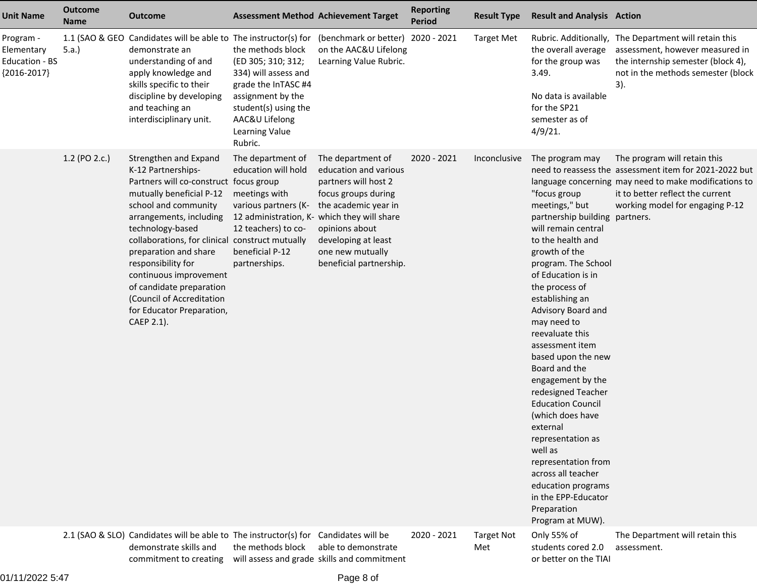| <b>Unit Name</b>                                                  | <b>Outcome</b><br><b>Name</b> | <b>Outcome</b>                                                                                                                                                                                                                                                                                                                                                                                                           |                                                                                                                                                                                    | <b>Assessment Method Achievement Target</b>                                                                                                                                                                                                              | <b>Reporting</b><br><b>Period</b> | <b>Result Type</b>       | <b>Result and Analysis Action</b>                                                                                                                                                                                                                                                                                                                                                                                                                                                                                                                                                                                        |                                                                                                                                                                                                                        |
|-------------------------------------------------------------------|-------------------------------|--------------------------------------------------------------------------------------------------------------------------------------------------------------------------------------------------------------------------------------------------------------------------------------------------------------------------------------------------------------------------------------------------------------------------|------------------------------------------------------------------------------------------------------------------------------------------------------------------------------------|----------------------------------------------------------------------------------------------------------------------------------------------------------------------------------------------------------------------------------------------------------|-----------------------------------|--------------------------|--------------------------------------------------------------------------------------------------------------------------------------------------------------------------------------------------------------------------------------------------------------------------------------------------------------------------------------------------------------------------------------------------------------------------------------------------------------------------------------------------------------------------------------------------------------------------------------------------------------------------|------------------------------------------------------------------------------------------------------------------------------------------------------------------------------------------------------------------------|
| Program -<br>Elementary<br><b>Education - BS</b><br>${2016-2017}$ | 5.a.                          | 1.1 (SAO & GEO Candidates will be able to The instructor(s) for (benchmark or better) 2020 - 2021<br>demonstrate an<br>understanding of and<br>apply knowledge and<br>skills specific to their<br>discipline by developing<br>and teaching an<br>interdisciplinary unit.                                                                                                                                                 | the methods block<br>(ED 305; 310; 312;<br>334) will assess and<br>grade the InTASC #4<br>assignment by the<br>student(s) using the<br>AAC&U Lifelong<br>Learning Value<br>Rubric. | on the AAC&U Lifelong<br>Learning Value Rubric.                                                                                                                                                                                                          |                                   | <b>Target Met</b>        | the overall average<br>for the group was<br>3.49.<br>No data is available<br>for the SP21<br>semester as of<br>$4/9/21$ .                                                                                                                                                                                                                                                                                                                                                                                                                                                                                                | Rubric. Additionally, The Department will retain this<br>assessment, however measured in<br>the internship semester (block 4),<br>not in the methods semester (block<br>3).                                            |
|                                                                   | 1.2 (PO 2.c.)                 | Strengthen and Expand<br>K-12 Partnerships-<br>Partners will co-construct focus group<br>mutually beneficial P-12<br>school and community<br>arrangements, including<br>technology-based<br>collaborations, for clinical construct mutually<br>preparation and share<br>responsibility for<br>continuous improvement<br>of candidate preparation<br>(Council of Accreditation<br>for Educator Preparation,<br>CAEP 2.1). | The department of<br>education will hold<br>meetings with<br>various partners (K-<br>12 teachers) to co-<br>beneficial P-12<br>partnerships.                                       | The department of<br>education and various<br>partners will host 2<br>focus groups during<br>the academic year in<br>12 administration, K- which they will share<br>opinions about<br>developing at least<br>one new mutually<br>beneficial partnership. | 2020 - 2021                       | Inconclusive             | The program may<br>"focus group<br>meetings," but<br>partnership building partners.<br>will remain central<br>to the health and<br>growth of the<br>program. The School<br>of Education is in<br>the process of<br>establishing an<br>Advisory Board and<br>may need to<br>reevaluate this<br>assessment item<br>based upon the new<br>Board and the<br>engagement by the<br>redesigned Teacher<br><b>Education Council</b><br>(which does have<br>external<br>representation as<br>well as<br>representation from<br>across all teacher<br>education programs<br>in the EPP-Educator<br>Preparation<br>Program at MUW). | The program will retain this<br>need to reassess the assessment item for 2021-2022 but<br>language concerning may need to make modifications to<br>it to better reflect the current<br>working model for engaging P-12 |
|                                                                   |                               | 2.1 (SAO & SLO) Candidates will be able to The instructor(s) for Candidates will be<br>demonstrate skills and<br>commitment to creating                                                                                                                                                                                                                                                                                  | the methods block                                                                                                                                                                  | able to demonstrate<br>will assess and grade skills and commitment                                                                                                                                                                                       | 2020 - 2021                       | <b>Target Not</b><br>Met | Only 55% of<br>students cored 2.0<br>or better on the TIAI                                                                                                                                                                                                                                                                                                                                                                                                                                                                                                                                                               | The Department will retain this<br>assessment.                                                                                                                                                                         |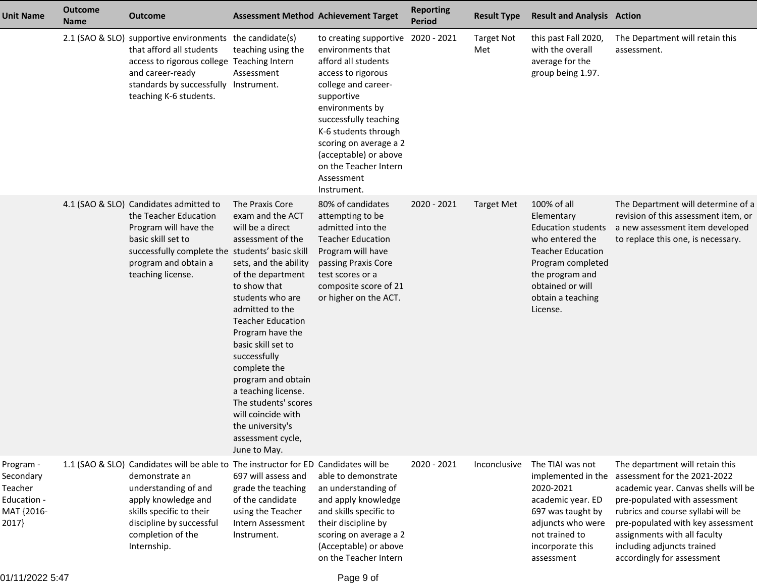| <b>Unit Name</b>                                                        | <b>Outcome</b><br><b>Name</b> | <b>Outcome</b>                                                                                                                                                                                                                                   | <b>Assessment Method Achievement Target</b>                                                                                                                                                                                                                                                                                                                                                                                                 |                                                                                                                                                                                                                                                                                                            | <b>Reporting</b><br><b>Period</b> | <b>Result Type</b>       | <b>Result and Analysis Action</b>                                                                                                                                                                  |                                                                                                                                                                                                                                                                                                                 |
|-------------------------------------------------------------------------|-------------------------------|--------------------------------------------------------------------------------------------------------------------------------------------------------------------------------------------------------------------------------------------------|---------------------------------------------------------------------------------------------------------------------------------------------------------------------------------------------------------------------------------------------------------------------------------------------------------------------------------------------------------------------------------------------------------------------------------------------|------------------------------------------------------------------------------------------------------------------------------------------------------------------------------------------------------------------------------------------------------------------------------------------------------------|-----------------------------------|--------------------------|----------------------------------------------------------------------------------------------------------------------------------------------------------------------------------------------------|-----------------------------------------------------------------------------------------------------------------------------------------------------------------------------------------------------------------------------------------------------------------------------------------------------------------|
|                                                                         |                               | 2.1 (SAO & SLO) supportive environments the candidate(s)<br>that afford all students<br>access to rigorous college Teaching Intern<br>and career-ready<br>standards by successfully Instrument.<br>teaching K-6 students.                        | teaching using the<br>Assessment                                                                                                                                                                                                                                                                                                                                                                                                            | to creating supportive<br>environments that<br>afford all students<br>access to rigorous<br>college and career-<br>supportive<br>environments by<br>successfully teaching<br>K-6 students through<br>scoring on average a 2<br>(acceptable) or above<br>on the Teacher Intern<br>Assessment<br>Instrument. | 2020 - 2021                       | <b>Target Not</b><br>Met | this past Fall 2020,<br>with the overall<br>average for the<br>group being 1.97.                                                                                                                   | The Department will retain this<br>assessment.                                                                                                                                                                                                                                                                  |
|                                                                         |                               | 4.1 (SAO & SLO) Candidates admitted to<br>the Teacher Education<br>Program will have the<br>basic skill set to<br>successfully complete the students' basic skill<br>program and obtain a<br>teaching license.                                   | The Praxis Core<br>exam and the ACT<br>will be a direct<br>assessment of the<br>sets, and the ability<br>of the department<br>to show that<br>students who are<br>admitted to the<br><b>Teacher Education</b><br>Program have the<br>basic skill set to<br>successfully<br>complete the<br>program and obtain<br>a teaching license.<br>The students' scores<br>will coincide with<br>the university's<br>assessment cycle,<br>June to May. | 80% of candidates<br>attempting to be<br>admitted into the<br><b>Teacher Education</b><br>Program will have<br>passing Praxis Core<br>test scores or a<br>composite score of 21<br>or higher on the ACT.                                                                                                   | 2020 - 2021                       | <b>Target Met</b>        | 100% of all<br>Elementary<br><b>Education students</b><br>who entered the<br><b>Teacher Education</b><br>Program completed<br>the program and<br>obtained or will<br>obtain a teaching<br>License. | The Department will determine of a<br>revision of this assessment item, or<br>a new assessment item developed<br>to replace this one, is necessary.                                                                                                                                                             |
| Program -<br>Secondary<br>Teacher<br>Education -<br>MAT {2016-<br>2017} |                               | 1.1 (SAO & SLO) Candidates will be able to The instructor for ED Candidates will be<br>demonstrate an<br>understanding of and<br>apply knowledge and<br>skills specific to their<br>discipline by successful<br>completion of the<br>Internship. | 697 will assess and<br>grade the teaching<br>of the candidate<br>using the Teacher<br>Intern Assessment<br>Instrument.                                                                                                                                                                                                                                                                                                                      | able to demonstrate<br>an understanding of<br>and apply knowledge<br>and skills specific to<br>their discipline by<br>scoring on average a 2<br>(Acceptable) or above<br>on the Teacher Intern                                                                                                             | 2020 - 2021                       | Inconclusive             | The TIAI was not<br>implemented in the<br>2020-2021<br>academic year. ED<br>697 was taught by<br>adjuncts who were<br>not trained to<br>incorporate this<br>assessment                             | The department will retain this<br>assessment for the 2021-2022<br>academic year. Canvas shells will be<br>pre-populated with assessment<br>rubrics and course syllabi will be<br>pre-populated with key assessment<br>assignments with all faculty<br>including adjuncts trained<br>accordingly for assessment |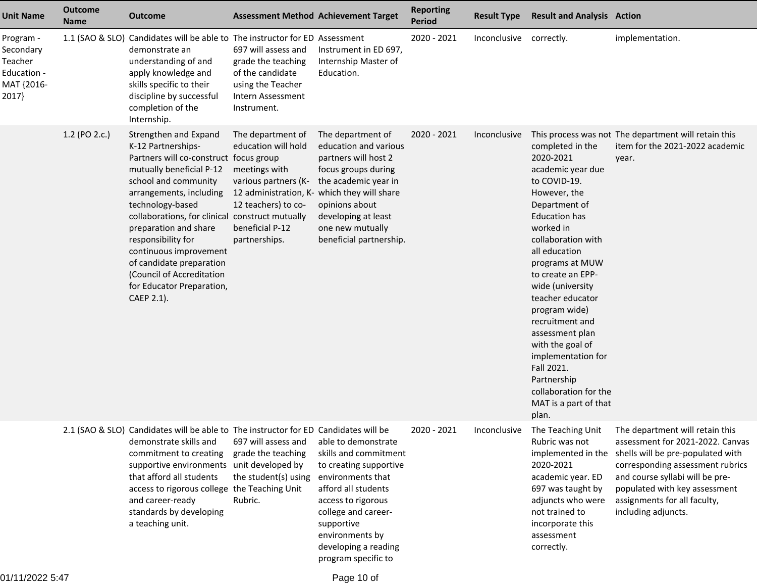| <b>Unit Name</b>                                                        | <b>Outcome</b><br><b>Name</b> | <b>Outcome</b>                                                                                                                                                                                                                                                                                                                                                                                                           |                                                                                                                                                                                             | <b>Assessment Method Achievement Target</b>                                                                                                                                                                                                     | <b>Reporting</b><br><b>Period</b> | <b>Result Type</b>      | <b>Result and Analysis Action</b>                                                                                                                                                                                                                                                                                                                                                                                                                        |                                                                                                                                                                                                                                                                                                                           |
|-------------------------------------------------------------------------|-------------------------------|--------------------------------------------------------------------------------------------------------------------------------------------------------------------------------------------------------------------------------------------------------------------------------------------------------------------------------------------------------------------------------------------------------------------------|---------------------------------------------------------------------------------------------------------------------------------------------------------------------------------------------|-------------------------------------------------------------------------------------------------------------------------------------------------------------------------------------------------------------------------------------------------|-----------------------------------|-------------------------|----------------------------------------------------------------------------------------------------------------------------------------------------------------------------------------------------------------------------------------------------------------------------------------------------------------------------------------------------------------------------------------------------------------------------------------------------------|---------------------------------------------------------------------------------------------------------------------------------------------------------------------------------------------------------------------------------------------------------------------------------------------------------------------------|
| Program -<br>Secondary<br>Teacher<br>Education -<br>MAT {2016-<br>2017} |                               | 1.1 (SAO & SLO) Candidates will be able to The instructor for ED Assessment<br>demonstrate an<br>understanding of and<br>apply knowledge and<br>skills specific to their<br>discipline by successful<br>completion of the<br>Internship.                                                                                                                                                                                 | 697 will assess and<br>grade the teaching<br>of the candidate<br>using the Teacher<br>Intern Assessment<br>Instrument.                                                                      | Instrument in ED 697,<br>Internship Master of<br>Education.                                                                                                                                                                                     | 2020 - 2021                       | Inconclusive correctly. |                                                                                                                                                                                                                                                                                                                                                                                                                                                          | implementation.                                                                                                                                                                                                                                                                                                           |
|                                                                         | 1.2 (PO 2.c.)                 | Strengthen and Expand<br>K-12 Partnerships-<br>Partners will co-construct focus group<br>mutually beneficial P-12<br>school and community<br>arrangements, including<br>technology-based<br>collaborations, for clinical construct mutually<br>preparation and share<br>responsibility for<br>continuous improvement<br>of candidate preparation<br>(Council of Accreditation<br>for Educator Preparation,<br>CAEP 2.1). | The department of<br>education will hold<br>meetings with<br>various partners (K-<br>12 administration, K- which they will share<br>12 teachers) to co-<br>beneficial P-12<br>partnerships. | The department of<br>education and various<br>partners will host 2<br>focus groups during<br>the academic year in<br>opinions about<br>developing at least<br>one new mutually<br>beneficial partnership.                                       | 2020 - 2021                       | Inconclusive            | completed in the<br>2020-2021<br>academic year due<br>to COVID-19.<br>However, the<br>Department of<br><b>Education has</b><br>worked in<br>collaboration with<br>all education<br>programs at MUW<br>to create an EPP-<br>wide (university<br>teacher educator<br>program wide)<br>recruitment and<br>assessment plan<br>with the goal of<br>implementation for<br>Fall 2021.<br>Partnership<br>collaboration for the<br>MAT is a part of that<br>plan. | This process was not The department will retain this<br>item for the 2021-2022 academic<br>year.                                                                                                                                                                                                                          |
|                                                                         |                               | 2.1 (SAO & SLO) Candidates will be able to The instructor for ED Candidates will be<br>demonstrate skills and<br>commitment to creating<br>supportive environments unit developed by<br>that afford all students<br>access to rigorous college the Teaching Unit<br>and career-ready<br>standards by developing<br>a teaching unit.                                                                                      | 697 will assess and<br>grade the teaching<br>the student(s) using<br>Rubric.                                                                                                                | able to demonstrate<br>skills and commitment<br>to creating supportive<br>environments that<br>afford all students<br>access to rigorous<br>college and career-<br>supportive<br>environments by<br>developing a reading<br>program specific to | 2020 - 2021                       |                         | Rubric was not<br>2020-2021<br>academic year. ED<br>697 was taught by<br>adjuncts who were<br>not trained to<br>incorporate this<br>assessment<br>correctly.                                                                                                                                                                                                                                                                                             | Inconclusive The Teaching Unit The department will retain this<br>assessment for 2021-2022. Canvas<br>implemented in the shells will be pre-populated with<br>corresponding assessment rubrics<br>and course syllabi will be pre-<br>populated with key assessment<br>assignments for all faculty,<br>including adjuncts. |